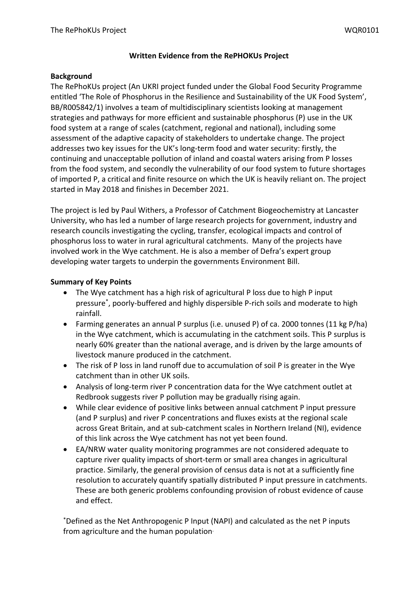#### **Written Evidence from the RePHOKUs Project**

#### **Background**

The RePhoKUs project (An UKRI project funded under the Global Food Security Programme entitled 'The Role of Phosphorus in the Resilience and Sustainability of the UK Food System', BB/R005842/1) involves a team of multidisciplinary scientists looking at management strategies and pathways for more efficient and sustainable phosphorus (P) use in the UK food system at a range of scales (catchment, regional and national), including some assessment of the adaptive capacity of stakeholders to undertake change. The project addresses two key issues for the UK's long-term food and water security: firstly, the continuing and unacceptable pollution of inland and coastal waters arising from P losses from the food system, and secondly the vulnerability of our food system to future shortages of imported P, a critical and finite resource on which the UK is heavily reliant on. The project started in May 2018 and finishes in December 2021.

The project is led by Paul Withers, a Professor of Catchment Biogeochemistry at Lancaster University, who has led a number of large research projects for government, industry and research councils investigating the cycling, transfer, ecological impacts and control of phosphorus loss to water in rural agricultural catchments. Many of the projects have involved work in the Wye catchment. He is also a member of Defra's expert group developing water targets to underpin the governments Environment Bill.

# **Summary of Key Points**

- The Wye catchment has a high risk of agricultural P loss due to high P input pressure\* , poorly-buffered and highly dispersible P-rich soils and moderate to high rainfall.
- Farming generates an annual P surplus (i.e. unused P) of ca. 2000 tonnes (11 kg P/ha) in the Wye catchment, which is accumulating in the catchment soils. This P surplus is nearly 60% greater than the national average, and is driven by the large amounts of livestock manure produced in the catchment.
- The risk of P loss in land runoff due to accumulation of soil P is greater in the Wye catchment than in other UK soils.
- Analysis of long-term river P concentration data for the Wye catchment outlet at Redbrook suggests river P pollution may be gradually rising again.
- While clear evidence of positive links between annual catchment P input pressure (and P surplus) and river P concentrations and fluxes exists at the regional scale across Great Britain, and at sub-catchment scales in Northern Ireland (NI), evidence of this link across the Wye catchment has not yet been found.
- EA/NRW water quality monitoring programmes are not considered adequate to capture river quality impacts of short-term or small area changes in agricultural practice. Similarly, the general provision of census data is not at a sufficiently fine resolution to accurately quantify spatially distributed P input pressure in catchments. These are both generic problems confounding provision of robust evidence of cause and effect.

\*Defined as the Net Anthropogenic P Input (NAPI) and calculated as the net P inputs from agriculture and the human population.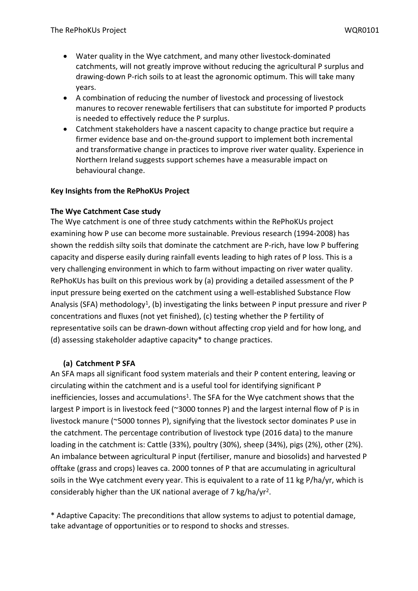- Water quality in the Wye catchment, and many other livestock-dominated catchments, will not greatly improve without reducing the agricultural P surplus and drawing-down P-rich soils to at least the agronomic optimum. This will take many years.
- A combination of reducing the number of livestock and processing of livestock manures to recover renewable fertilisers that can substitute for imported P products is needed to effectively reduce the P surplus.
- Catchment stakeholders have a nascent capacity to change practice but require a firmer evidence base and on-the-ground support to implement both incremental and transformative change in practices to improve river water quality. Experience in Northern Ireland suggests support schemes have a measurable impact on behavioural change.

# **Key Insights from the RePhoKUs Project**

# **The Wye Catchment Case study**

The Wye catchment is one of three study catchments within the RePhoKUs project examining how P use can become more sustainable. Previous research (1994-2008) has shown the reddish silty soils that dominate the catchment are P-rich, have low P buffering capacity and disperse easily during rainfall events leading to high rates of P loss. This is a very challenging environment in which to farm without impacting on river water quality. RePhoKUs has built on this previous work by (a) providing a detailed assessment of the P input pressure being exerted on the catchment using a well-established Substance Flow Analysis (SFA) methodology<sup>1</sup>, (b) investigating the links between P input pressure and river P concentrations and fluxes (not yet finished), (c) testing whether the P fertility of representative soils can be drawn-down without affecting crop yield and for how long, and (d) assessing stakeholder adaptive capacity\* to change practices.

# **(a) Catchment P SFA**

An SFA maps all significant food system materials and their P content entering, leaving or circulating within the catchment and is a useful tool for identifying significant P inefficiencies, losses and accumulations<sup>1</sup>. The SFA for the Wye catchment shows that the largest P import is in livestock feed (~3000 tonnes P) and the largest internal flow of P is in livestock manure (~5000 tonnes P), signifying that the livestock sector dominates P use in the catchment. The percentage contribution of livestock type (2016 data) to the manure loading in the catchment is: Cattle (33%), poultry (30%), sheep (34%), pigs (2%), other (2%). An imbalance between agricultural P input (fertiliser, manure and biosolids) and harvested P offtake (grass and crops) leaves ca. 2000 tonnes of P that are accumulating in agricultural soils in the Wye catchment every year. This is equivalent to a rate of 11 kg P/ha/yr, which is considerably higher than the UK national average of 7 kg/ha/yr<sup>2</sup>.

\* Adaptive Capacity: The preconditions that allow systems to adjust to potential damage, take advantage of opportunities or to respond to shocks and stresses.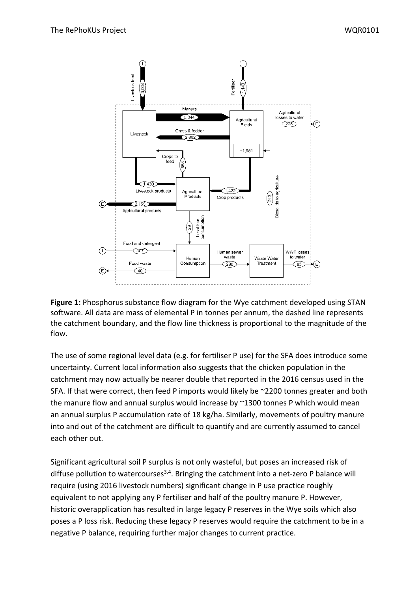

**Figure 1:** Phosphorus substance flow diagram for the Wye catchment developed using STAN software. All data are mass of elemental P in tonnes per annum, the dashed line represents the catchment boundary, and the flow line thickness is proportional to the magnitude of the flow.

The use of some regional level data (e.g. for fertiliser P use) for the SFA does introduce some uncertainty. Current local information also suggests that the chicken population in the catchment may now actually be nearer double that reported in the 2016 census used in the SFA. If that were correct, then feed P imports would likely be ~2200 tonnes greater and both the manure flow and annual surplus would increase by ~1300 tonnes P which would mean an annual surplus P accumulation rate of 18 kg/ha. Similarly, movements of poultry manure into and out of the catchment are difficult to quantify and are currently assumed to cancel each other out.

Significant agricultural soil P surplus is not only wasteful, but poses an increased risk of diffuse pollution to watercourses<sup>3,4</sup>. Bringing the catchment into a net-zero P balance will require (using 2016 livestock numbers) significant change in P use practice roughly equivalent to not applying any P fertiliser and half of the poultry manure P. However, historic overapplication has resulted in large legacy P reserves in the Wye soils which also poses a P loss risk. Reducing these legacy P reserves would require the catchment to be in a negative P balance, requiring further major changes to current practice.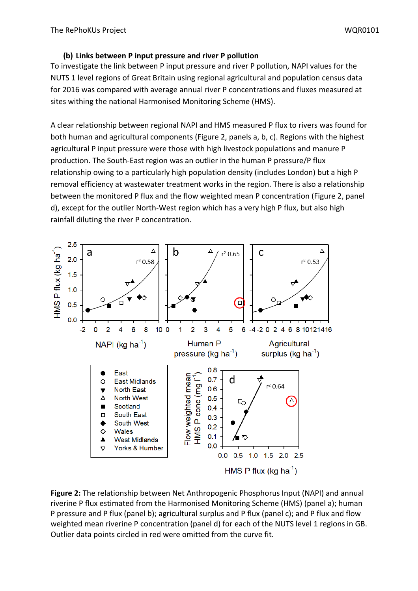# **(b) Links between P input pressure and river P pollution**

To investigate the link between P input pressure and river P pollution, NAPI values for the NUTS 1 level regions of Great Britain using regional agricultural and population census data for 2016 was compared with average annual river P concentrations and fluxes measured at sites withing the national Harmonised Monitoring Scheme (HMS).

A clear relationship between regional NAPI and HMS measured P flux to rivers was found for both human and agricultural components (Figure 2, panels a, b, c). Regions with the highest agricultural P input pressure were those with high livestock populations and manure P production. The South-East region was an outlier in the human P pressure/P flux relationship owing to a particularly high population density (includes London) but a high P removal efficiency at wastewater treatment works in the region. There is also a relationship between the monitored P flux and the flow weighted mean P concentration (Figure 2, panel d), except for the outlier North-West region which has a very high P flux, but also high rainfall diluting the river P concentration.



**Figure 2:** The relationship between Net Anthropogenic Phosphorus Input (NAPI) and annual riverine P flux estimated from the Harmonised Monitoring Scheme (HMS) (panel a); human P pressure and P flux (panel b); agricultural surplus and P flux (panel c); and P flux and flow weighted mean riverine P concentration (panel d) for each of the NUTS level 1 regions in GB. Outlier data points circled in red were omitted from the curve fit.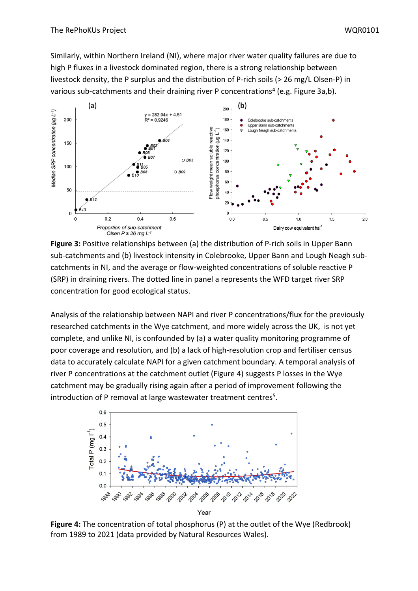Similarly, within Northern Ireland (NI), where major river water quality failures are due to high P fluxes in a livestock dominated region, there is a strong relationship between livestock density, the P surplus and the distribution of P-rich soils (> 26 mg/L Olsen-P) in various sub-catchments and their draining river P concentrations<sup>4</sup> (e.g. Figure 3a,b).



**Figure 3:** Positive relationships between (a) the distribution of P-rich soils in Upper Bann sub-catchments and (b) livestock intensity in Colebrooke, Upper Bann and Lough Neagh subcatchments in NI, and the average or flow-weighted concentrations of soluble reactive P (SRP) in draining rivers. The dotted line in panel a represents the WFD target river SRP concentration for good ecological status.

Analysis of the relationship between NAPI and river P concentrations/flux for the previously researched catchments in the Wye catchment, and more widely across the UK, is not yet complete, and unlike NI, is confounded by (a) a water quality monitoring programme of poor coverage and resolution, and (b) a lack of high-resolution crop and fertiliser census data to accurately calculate NAPI for a given catchment boundary. A temporal analysis of river P concentrations at the catchment outlet (Figure 4) suggests P losses in the Wye catchment may be gradually rising again after a period of improvement following the introduction of P removal at large wastewater treatment centres<sup>5</sup>.



**Figure 4:** The concentration of total phosphorus (P) at the outlet of the Wye (Redbrook) from 1989 to 2021 (data provided by Natural Resources Wales).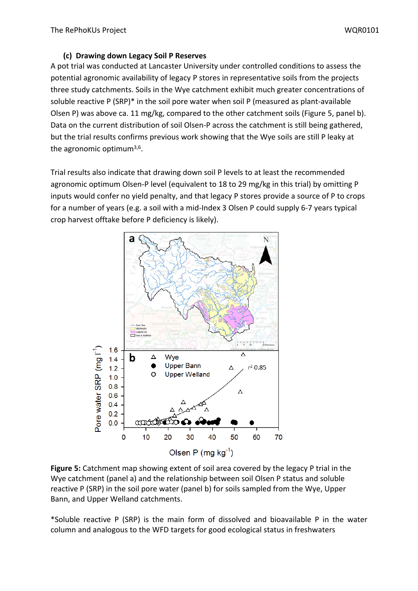# **(c) Drawing down Legacy Soil P Reserves**

A pot trial was conducted at Lancaster University under controlled conditions to assess the potential agronomic availability of legacy P stores in representative soils from the projects three study catchments. Soils in the Wye catchment exhibit much greater concentrations of soluble reactive P (SRP)\* in the soil pore water when soil P (measured as plant-available Olsen P) was above ca. 11 mg/kg, compared to the other catchment soils (Figure 5, panel b). Data on the current distribution of soil Olsen-P across the catchment is still being gathered, but the trial results confirms previous work showing that the Wye soils are still P leaky at the agronomic optimum<sup>3,6</sup>.

Trial results also indicate that drawing down soil P levels to at least the recommended agronomic optimum Olsen-P level (equivalent to 18 to 29 mg/kg in this trial) by omitting P inputs would confer no yield penalty, and that legacy P stores provide a source of P to crops for a number of years (e.g. a soil with a mid-Index 3 Olsen P could supply 6-7 years typical crop harvest offtake before P deficiency is likely).



**Figure 5:** Catchment map showing extent of soil area covered by the legacy P trial in the Wye catchment (panel a) and the relationship between soil Olsen P status and soluble reactive P (SRP) in the soil pore water (panel b) for soils sampled from the Wye, Upper Bann, and Upper Welland catchments.

\*Soluble reactive P (SRP) is the main form of dissolved and bioavailable P in the water column and analogous to the WFD targets for good ecological status in freshwaters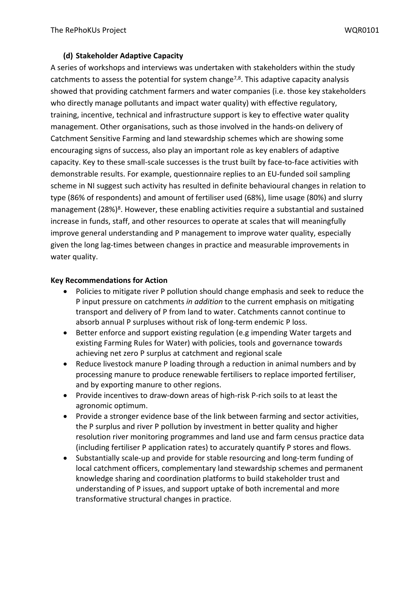# **(d) Stakeholder Adaptive Capacity**

A series of workshops and interviews was undertaken with stakeholders within the study catchments to assess the potential for system change<sup>7,8</sup>. This adaptive capacity analysis showed that providing catchment farmers and water companies (i.e. those key stakeholders who directly manage pollutants and impact water quality) with effective regulatory, training, incentive, technical and infrastructure support is key to effective water quality management. Other organisations, such as those involved in the hands-on delivery of Catchment Sensitive Farming and land stewardship schemes which are showing some encouraging signs of success, also play an important role as key enablers of adaptive capacity. Key to these small-scale successes is the trust built by face-to-face activities with demonstrable results. For example, questionnaire replies to an EU-funded soil sampling scheme in NI suggest such activity has resulted in definite behavioural changes in relation to type (86% of respondents) and amount of fertiliser used (68%), lime usage (80%) and slurry management (28%)<sup>8</sup>. However, these enabling activities require a substantial and sustained increase in funds, staff, and other resources to operate at scales that will meaningfully improve general understanding and P management to improve water quality, especially given the long lag-times between changes in practice and measurable improvements in water quality.

# **Key Recommendations for Action**

- Policies to mitigate river P pollution should change emphasis and seek to reduce the P input pressure on catchments *in addition* to the current emphasis on mitigating transport and delivery of P from land to water. Catchments cannot continue to absorb annual P surpluses without risk of long-term endemic P loss.
- Better enforce and support existing regulation (e.g impending Water targets and existing Farming Rules for Water) with policies, tools and governance towards achieving net zero P surplus at catchment and regional scale
- Reduce livestock manure P loading through a reduction in animal numbers and by processing manure to produce renewable fertilisers to replace imported fertiliser, and by exporting manure to other regions.
- Provide incentives to draw-down areas of high-risk P-rich soils to at least the agronomic optimum.
- Provide a stronger evidence base of the link between farming and sector activities, the P surplus and river P pollution by investment in better quality and higher resolution river monitoring programmes and land use and farm census practice data (including fertiliser P application rates) to accurately quantify P stores and flows.
- Substantially scale-up and provide for stable resourcing and long-term funding of local catchment officers, complementary land stewardship schemes and permanent knowledge sharing and coordination platforms to build stakeholder trust and understanding of P issues, and support uptake of both incremental and more transformative structural changes in practice.